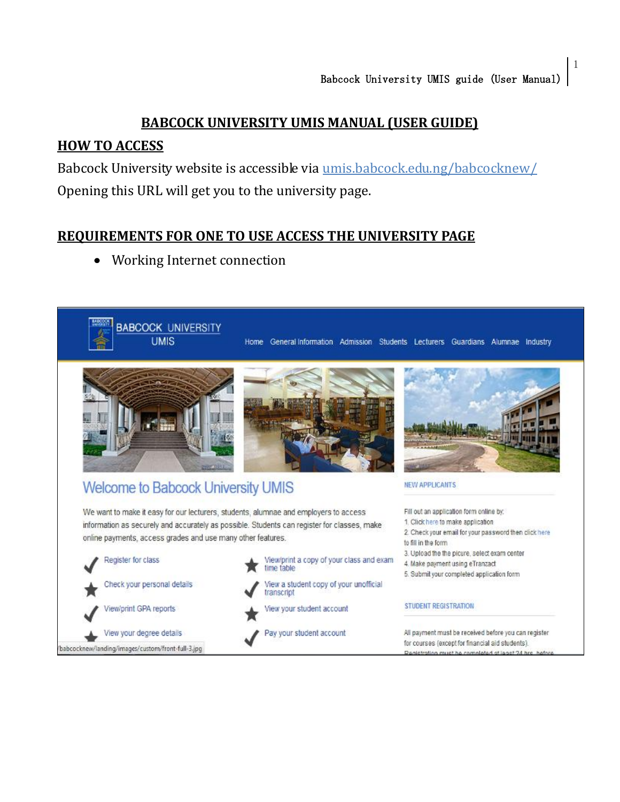### **BABCOCK UNIVERSITY UMIS MANUAL (USER GUIDE)**

### **HOW TO ACCESS**

Babcock University website is accessible via umis[.babcock.edu.ng/babcocknew/](http://umis.babcockuni.edu.ng/babcocknew/) Opening this URL will get you to the university page.

#### **REQUIREMENTS FOR ONE TO USE ACCESS THE UNIVERSITY PAGE**

Working Internet connection $\bullet$ 

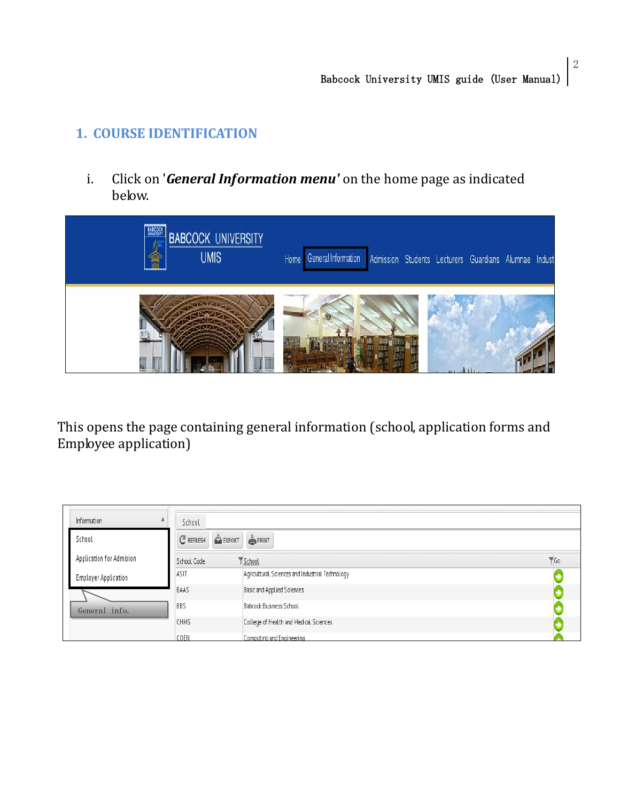### **1. COURSE IDENTIFICATION**

i. Click on '*General Information menu'* on the home page as indicated below.



This opens the page containing general information (school, application forms and Employee application)

| Information |                             | School      |                                                 |                 |
|-------------|-----------------------------|-------------|-------------------------------------------------|-----------------|
| School      |                             | $C$ REFRESH | EXPORT PRINT                                    |                 |
|             | Application for Admision    | School Code | School                                          | $\mathbf{V}$ Go |
|             | <b>Employer Application</b> | ASIT        | Agricultural Sciences and Industrial Technology |                 |
|             |                             | <b>BAAS</b> | Basic and Applied Sciences                      |                 |
|             | General info.               | <b>BBS</b>  | Babcock Business School                         |                 |
|             |                             | CHMS        | College of Health and Medical Sciences          |                 |
|             |                             | COEN        | Computing and Engineering                       |                 |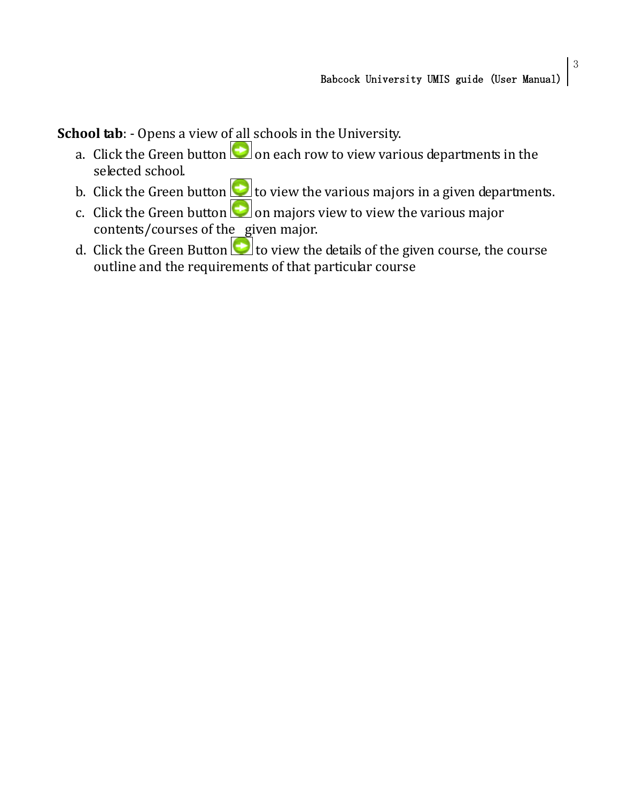**School tab**: - Opens a view of all schools in the University.

- a. Click the Green button  $\Box$  on each row to view various departments in the selected school.
- b. Click the Green button  $\Box$  to view the various majors in a given departments.
- c. Click the Green button  $\Box$  on majors view to view the various major contents/courses of the given major.
- d. Click the Green Button  $\Box$  to view the details of the given course, the course outline and the requirements of that particular course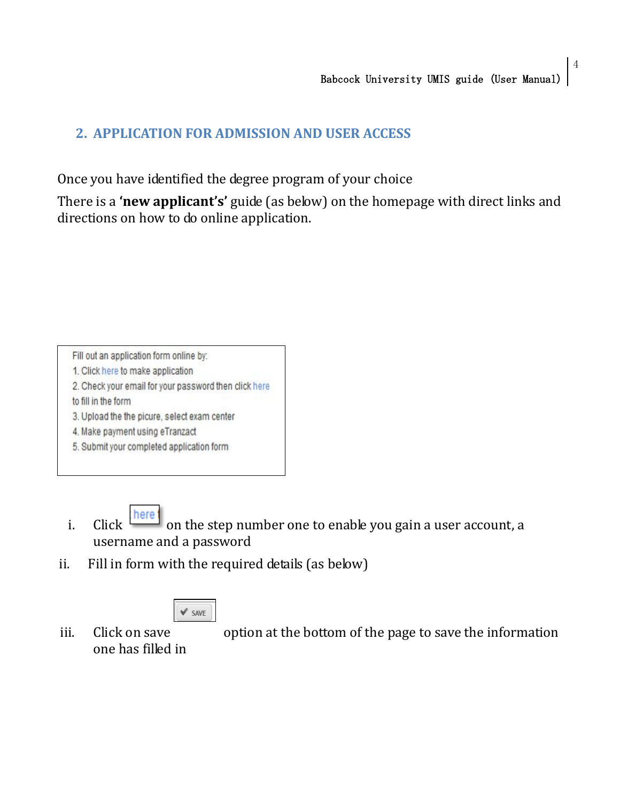### **2. APPLICATION FOR ADMISSION AND USER ACCESS**

Once you have identified the degree program of your choice

There is a **'new applicant's'** guide (as below) on the homepage with direct links and directions on how to do online application.

Fill out an application form online by:

- 1. Click here to make application
- 2. Check your email for your password then click here
- to fill in the form
- 3. Upload the the picure, select exam center
- 4. Make payment using eTranzact
- 5. Submit your completed application form

- i. Click  $\frac{|\text{here}|}{|\text{one}|}$  on the step number one to enable you gain a user account, a username and a password
- ii. Fill in form with the required details (as below)

iii. Click on save option at the bottom of the page to save the information one has filled in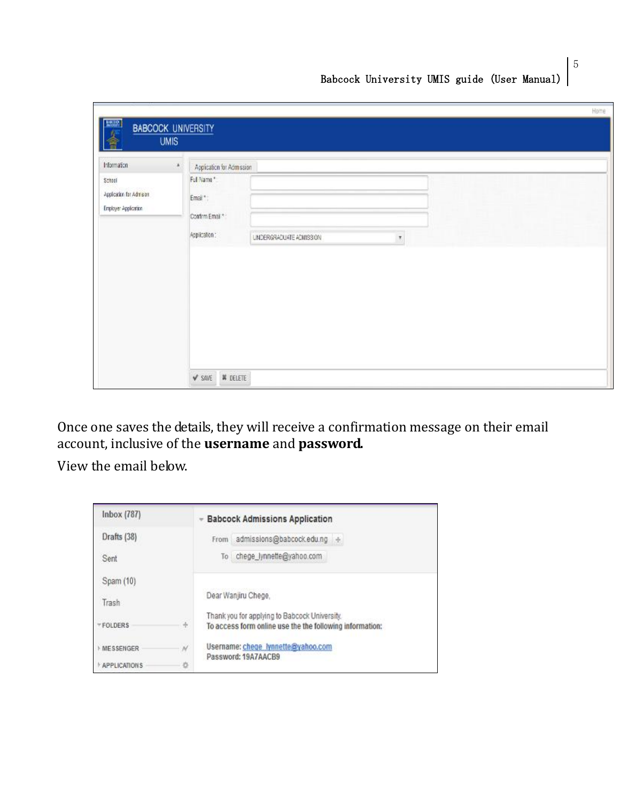| 多<br><b>UMIS</b>                                                               | <b>BABCOCK UNIVERSITY</b>                                                                                                                          |
|--------------------------------------------------------------------------------|----------------------------------------------------------------------------------------------------------------------------------------------------|
| Information<br>×<br>School<br>Application for Admis on<br>Employer Application | Application for Admission<br>Full Name*<br>Emai <sup>+</sup> :<br>Control Email **<br>Application:<br>UNDERGRADUATE ADMISSION<br>$\overline{\tau}$ |

Once one saves the details, they will receive a confirmation message on their email account, inclusive of the **username** and **password.**

View the email below.

| Inbox (787)         |               | <b>Babcock Admissions Application</b>                                                                     |
|---------------------|---------------|-----------------------------------------------------------------------------------------------------------|
| Drafts (38)         |               | admissions@babcock.edu.ng +<br>From                                                                       |
| Sent                |               | chege_lynnette@yahoo.com<br>ĩο                                                                            |
| Spam (10)           |               |                                                                                                           |
| Trash               |               | Dear Wanjiru Chege.                                                                                       |
| FOLDERS             | $\frac{1}{2}$ | Thank you for applying to Babcock University.<br>To access form online use the the following information: |
| MESSENGER           | ${\cal N}$    | Username: chege lynnette@yahoo.com                                                                        |
| <b>APPLICATIONS</b> | 办             | Password: 19A7AACB9                                                                                       |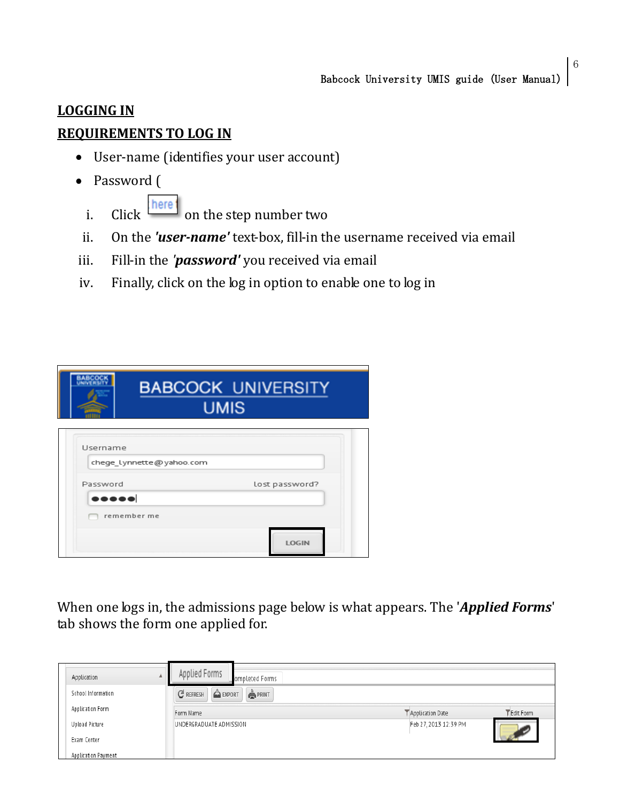# **LOGGING IN REQUIREMENTS TO LOG IN**

- User-name (identifies your user account)
- Password (
	- i. Click **here** on the step number two
	- ii. On the *'user-name'* text-box, fill-in the username received via email
- iii. Fill-in the *'password'* you received via email
- iv. Finally, click on the log in option to enable one to log in

| Username<br>chege lynnette@yahoo.com                                | <b>BABCOCK UNIVERSITY</b><br><b>UMIS</b> |
|---------------------------------------------------------------------|------------------------------------------|
|                                                                     |                                          |
| Password<br>Lost password?<br>$\bullet\bullet\bullet\bullet\bullet$ |                                          |

When one logs in, the admissions page below is what appears. The '*Applied Forms*' tab shows the form one applied for.

| Δ.<br>Application     | Applied Forms<br>ompleted Forms   |                       |           |
|-----------------------|-----------------------------------|-----------------------|-----------|
| School Information    | $C$ REFRESH<br>EXPORT<br>$P$ RINT |                       |           |
| Application Form      | Form Name                         | Application Date      | Edit Form |
| <b>Upload Picture</b> | UNDERGRADUATE ADMISSION           | Feb 27, 2013 12:39 PM |           |
| Exam Center           |                                   |                       |           |
| Application Payment   |                                   |                       |           |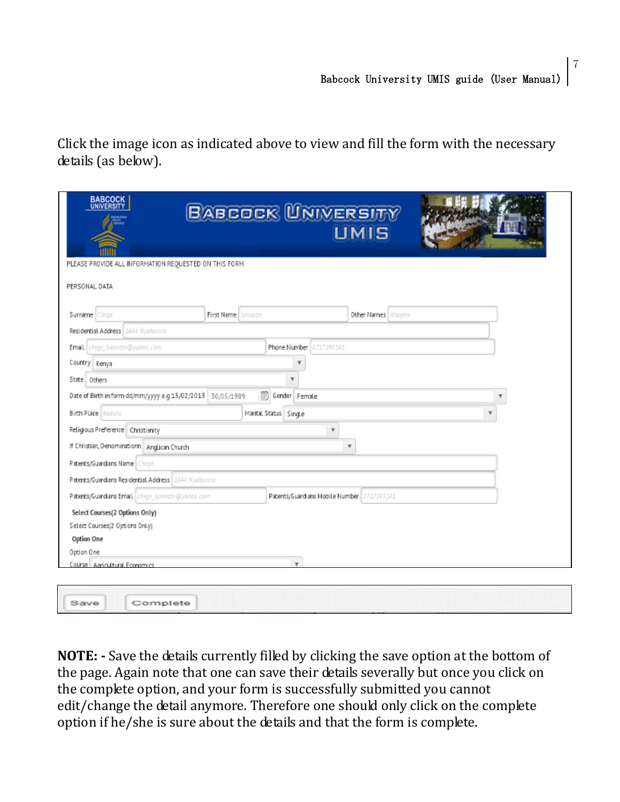Click the image icon as indicated above to view and fill the form with the necessary details (as below).

| <b>BABCOCK</b><br>UNIVERSITY<br>PLEASE PROVIDE ALL INFORMATION REQUESTED ON THIS FORM | BABCOCK UNIVERSITY                         | <b>UMIS</b>         |                         |
|---------------------------------------------------------------------------------------|--------------------------------------------|---------------------|-------------------------|
| PERSONAL DATA                                                                         |                                            |                     |                         |
| Surname Chege                                                                         | First Name Lynnette                        | Other Names Wanjiru |                         |
| Residential Address 2644 Nyahururu                                                    |                                            |                     |                         |
| Email chege_(ynnette@yahoo.com                                                        | Phone Number 0717195141                    |                     |                         |
| Country Kenya                                                                         |                                            |                     |                         |
| State Others                                                                          |                                            |                     |                         |
| Date of Birth in form dd/mm/yyyy e.g 13/02/2013 30/05/1989                            | 圜<br>Gender Female                         |                     | v                       |
| Birth Place Nakuru                                                                    | Marital Status Single                      |                     | $\overline{\mathbf{v}}$ |
| Religious Preference   Christianity                                                   | $\overline{\mathbf{v}}$                    |                     |                         |
| If Christian, Denominationn   Anglican Church                                         |                                            | v                   |                         |
| Patents/Guardians Name Chege                                                          |                                            |                     |                         |
| Patents/Guardians Residential Address 1644 Nyahururu                                  |                                            |                     |                         |
| Patents/Guardians Email chege_lynnette@yahoo.com                                      | Patents/Guardians Mobile Number 0717195141 |                     |                         |
| Select Courses(2 Options Only)                                                        |                                            |                     |                         |
| Select Courses(2 Options Only)                                                        |                                            |                     |                         |
| Option One                                                                            |                                            |                     |                         |
| Option One                                                                            |                                            |                     |                         |
| Course   Agricultural Economics                                                       | $\boldsymbol{\mathrm{v}}$                  |                     |                         |

**NOTE: -** Save the details currently filled by clicking the save option at the bottom of the page. Again note that one can save their details severally but once you click on the complete option, and your form is successfully submitted you cannot edit/change the detail anymore. Therefore one should only click on the complete option if he/she is sure about the details and that the form is complete.

Save

Complete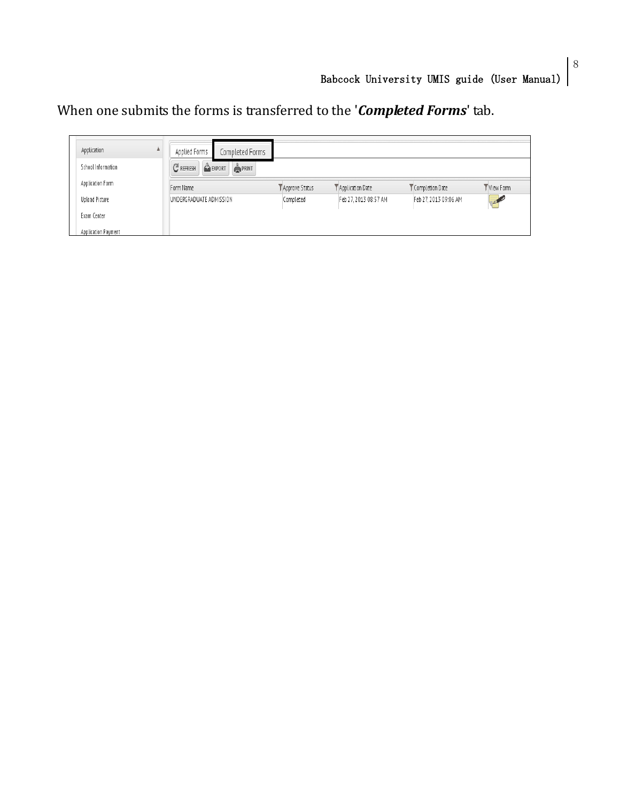When one submits the forms is transferred to the '*Completed Forms*' tab.

| Application<br>School Information | Applied Forms<br>$C$ REFRESH | Completed Forms<br>EXPORT<br><b>PRINT</b> |                |                       |                       |                    |
|-----------------------------------|------------------------------|-------------------------------------------|----------------|-----------------------|-----------------------|--------------------|
| Application Form                  | Form Name                    |                                           | Approve Status | Application Date      | Completion Date       | View Form          |
| Upload Picture                    | UNDERGRADUATE ADMISSION      |                                           | Completed      | Feb 27, 2013 08:57 AM | Feb 27, 2013 09:06 AM | <b>CERTIFICATE</b> |
| Exam Center                       |                              |                                           |                |                       |                       |                    |
| Application Payment               |                              |                                           |                |                       |                       |                    |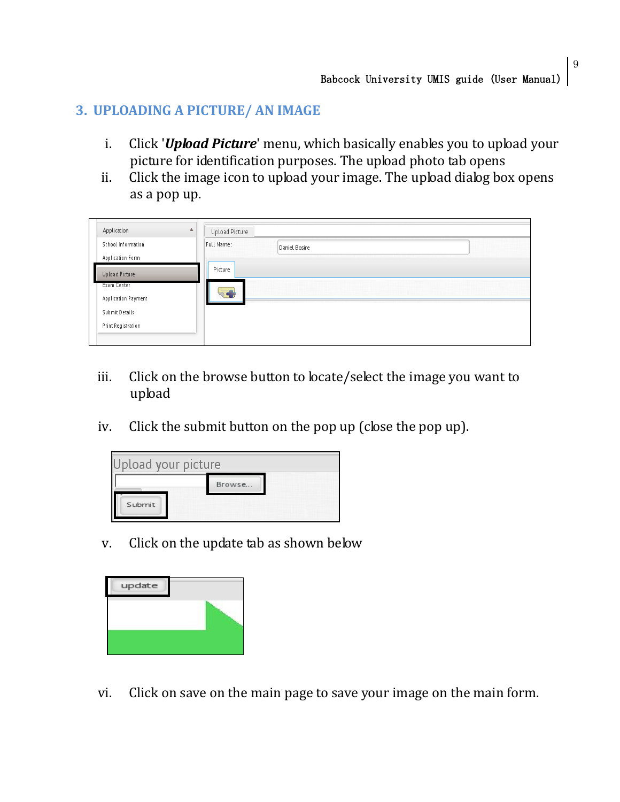# **3. UPLOADING A PICTURE/ AN IMAGE**

- i. Click '*Upload Picture*' menu, which basically enables you to upload your picture for identification purposes. The upload photo tab opens
- ii. Click the image icon to upload your image. The upload dialog box opens as a pop up.

| Upload Picture |               |  |
|----------------|---------------|--|
| Full Name:     | Daniel Bosire |  |
|                |               |  |
| Picture        |               |  |
|                |               |  |
|                |               |  |
|                |               |  |
|                |               |  |
|                | ×             |  |

- iii. Click on the browse button to locate/select the image you want to upload
- iv. Click the submit button on the pop up (close the pop up).



v. Click on the update tab as shown below



vi. Click on save on the main page to save your image on the main form.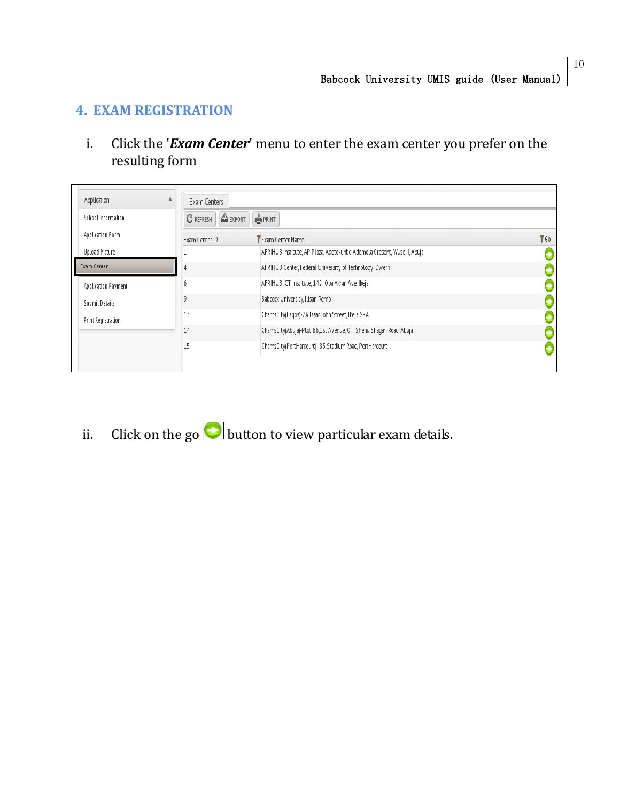### **4. EXAM REGISTRATION**

i. Click the '*Exam Center*' menu to enter the exam center you prefer on the resulting form

| Application               | Exam Centers          |                                                                         |             |
|---------------------------|-----------------------|-------------------------------------------------------------------------|-------------|
| School Information        | $C$ REFRESH<br>EXPORT | $P$ RINT                                                                |             |
| Application Form          | Exam Center ID        | Y Exam Center Name                                                      | $\sqrt{60}$ |
| <b>Upload Picture</b>     |                       | AFRIHUB Institute, AP Plaza, Adetokunbo Ademola Cresent, Wuse II, Abuja |             |
| Exam Center               |                       | AFRIHUB Center, Federal University of Technology. Owerri                |             |
| Application Payment       | o                     | AFRIHUB ICT Institute, 142, Oba Akran Ave, Ikeja                        |             |
| Submit Details            | a                     | Babcock University, Ilisan-Remo                                         |             |
| <b>Print Registration</b> | 13                    | ChamsCity(Lagos)-2A Isaac John Street, Ikeja GRA                        |             |
|                           | 14                    | ChamsCity(Abuja)-Plot 66,1st Avenue, Off Shehu Shaqari Road, Abuja      |             |
|                           | 15                    | ChamsCity(PortHarcourt)- 83 Stadium Road, PortHarcourt                  |             |

ii. Click on the go **b**utton to view particular exam details.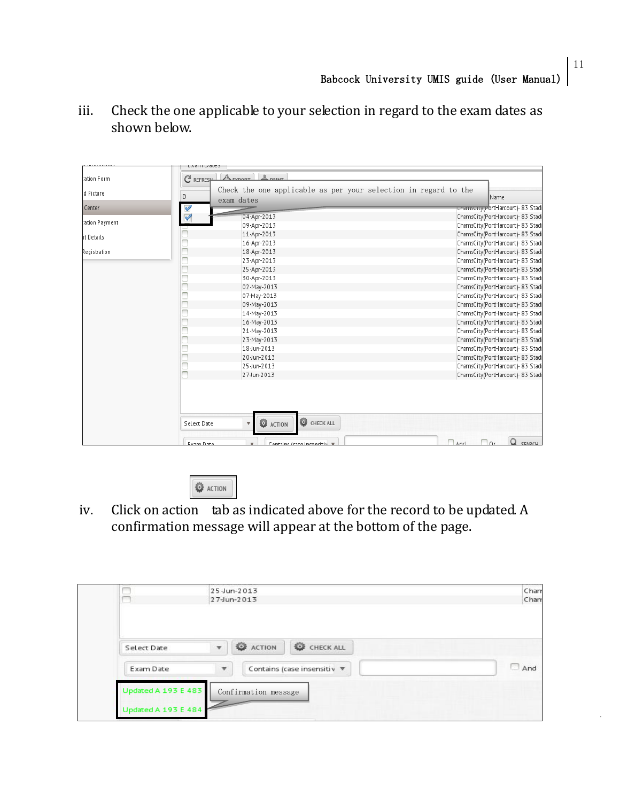|                | こくさけ しさいこう               |                                                                 |                                   |  |  |
|----------------|--------------------------|-----------------------------------------------------------------|-----------------------------------|--|--|
| tation Form    | C REFRESH                | $\frac{D}{2}$ now $T$<br>A rypont                               |                                   |  |  |
| d Picture      |                          | Check the one applicable as per your selection in regard to the |                                   |  |  |
|                | ID                       | exam dates                                                      | Name                              |  |  |
| Center         | $\overline{\mathcal{C}}$ |                                                                 | ChamsCity(PortHarcourt)- 83 Stadi |  |  |
|                |                          | 04-Apr-2013                                                     | ChamsCity(PortHarcourt)- 83 Stadi |  |  |
| cation Payment |                          | 09-Apr-2013                                                     | ChamsCity(PortHarcourt)- 83 Stadi |  |  |
| it Details     |                          | 11-Apr-2013                                                     | ChamsCity(PortHarcourt)- 83 Stadi |  |  |
|                |                          | 16-Apr-2013                                                     | ChamsCity(PortHarcourt)- 83 Stadi |  |  |
| Registration   |                          | 18-Apr-2013                                                     | ChamsCity(PortHarcourt)- 83 Stadi |  |  |
|                |                          | 23-Apr-2013                                                     | ChamsCity(PortHarcourt)- 83 Stadi |  |  |
|                |                          | 25-Apr-2013                                                     | ChamsCity(PortHarcourt)- 83 Stadi |  |  |
|                |                          | 30-Apr-2013                                                     | ChamsCity(PortHarcourt)- 83 Stadi |  |  |
|                |                          | 02-May-2013                                                     | ChamsCity(PortHarcourt)- 83 Stadi |  |  |
|                |                          | 07-May-2013                                                     | ChamsCity(PortHarcourt)- 83 Stadi |  |  |
|                |                          | 09-May-2013                                                     | ChamsCity(PortHarcourt)- 83 Stadi |  |  |
|                |                          | 14-May-2013                                                     | ChamsCity(PortHarcourt)- 83 Stadi |  |  |
|                |                          | 16-May-2013                                                     | ChamsCity(PortHarcourt)- 83 Stadi |  |  |
|                |                          | 21-May-2013                                                     | ChamsCity(PortHarcourt)- 83 Stadi |  |  |
|                |                          | 23-May-2013                                                     | ChamsCity(PortHarcourt)- 83 Stadi |  |  |
|                |                          | 18-Jun-2013                                                     | ChamsCity(PortHarcourt)- 83 Stadi |  |  |
|                |                          | 20-Jun-2013                                                     | ChamsCity(PortHarcourt)- 83 Stadi |  |  |
|                |                          | 25-Jun-2013                                                     | ChamsCity(PortHarcourt)- 83 Stadi |  |  |
|                |                          | 27-Jun-2013                                                     | ChamsCity(PortHarcourt)- 83 Stadi |  |  |
|                |                          |                                                                 |                                   |  |  |
|                | Select Date              | C CHECK ALL<br><b>O</b> ACTION                                  |                                   |  |  |
|                |                          |                                                                 | CEADCH.                           |  |  |

iii. Check the one applicable to your selection in regard to the exam dates as shown below.



iv. Click on action tab as indicated above for the record to be updated. A confirmation message will appear at the bottom of the page.

|                     |                                                          | 25-Jun-2013          |           | Chan      |
|---------------------|----------------------------------------------------------|----------------------|-----------|-----------|
|                     | Chan                                                     |                      |           |           |
|                     |                                                          |                      |           |           |
| Select Date         | $\bar{\mathbf{v}}$                                       | <b>E</b> ACTION      | CHECK ALL |           |
| Exam Date           | Contains (case insensitiv ▼<br>$\boldsymbol{\mathrm{v}}$ |                      |           | And<br>55 |
| Updated A 193 E 483 |                                                          | Confirmation message |           |           |
| Updated A 193 E 484 |                                                          |                      |           |           |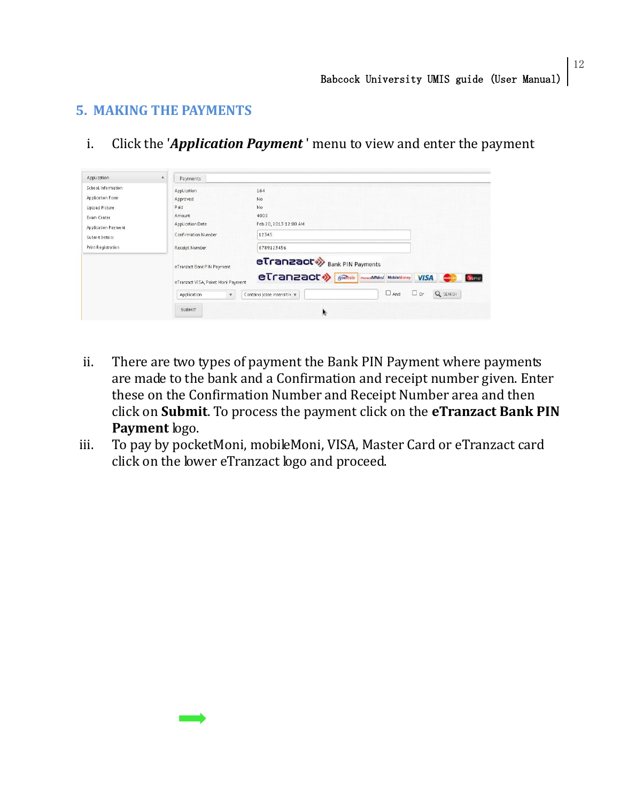### **5. MAKING THE PAYMENTS**

i. Click the '*Application Payment* ' menu to view and enter the payment

| Application               | A<br>Payments                                                    |                                                                                                                   |  |  |  |  |  |
|---------------------------|------------------------------------------------------------------|-------------------------------------------------------------------------------------------------------------------|--|--|--|--|--|
| School Information        | Application                                                      | 164                                                                                                               |  |  |  |  |  |
| Application Form          | Approved                                                         | No                                                                                                                |  |  |  |  |  |
| <b>Upload Picture</b>     | Paid                                                             | No                                                                                                                |  |  |  |  |  |
| Exam Center               | Amount                                                           | 4000                                                                                                              |  |  |  |  |  |
| Application Payment       | Application Date                                                 | Feb 20, 2013 12:00 AM                                                                                             |  |  |  |  |  |
| Submit Details            | Confirmation Number                                              | 12345                                                                                                             |  |  |  |  |  |
| <b>Print Registration</b> | Receipt Number                                                   | 6789123456                                                                                                        |  |  |  |  |  |
|                           | eTranzact Bank PIN Payment<br>eTranzact VISA, Poket Moni Payment | eTranzact <sup>*</sup> Bank PIN Payments<br>eTranzact ><br>gonesis PocketMani MobileMoney<br><b>VISA</b><br>Verve |  |  |  |  |  |
|                           | Application<br>$\boldsymbol{\mathrm{v}}$                         | Q SEARCH<br>$\Box$ And<br>$\Box$ or<br>Contains (case insensitiv v                                                |  |  |  |  |  |
|                           | <b>SUBMIT</b>                                                    | 赊                                                                                                                 |  |  |  |  |  |

- ii. There are two types of payment the Bank PIN Payment where payments are made to the bank and a Confirmation and receipt number given. Enter these on the Confirmation Number and Receipt Number area and then click on **Submit**. To process the payment click on the **eTranzact Bank PIN Payment** logo.
- iii. To pay by pocketMoni, mobileMoni, VISA, Master Card or eTranzact card click on the lower eTranzact logo and proceed.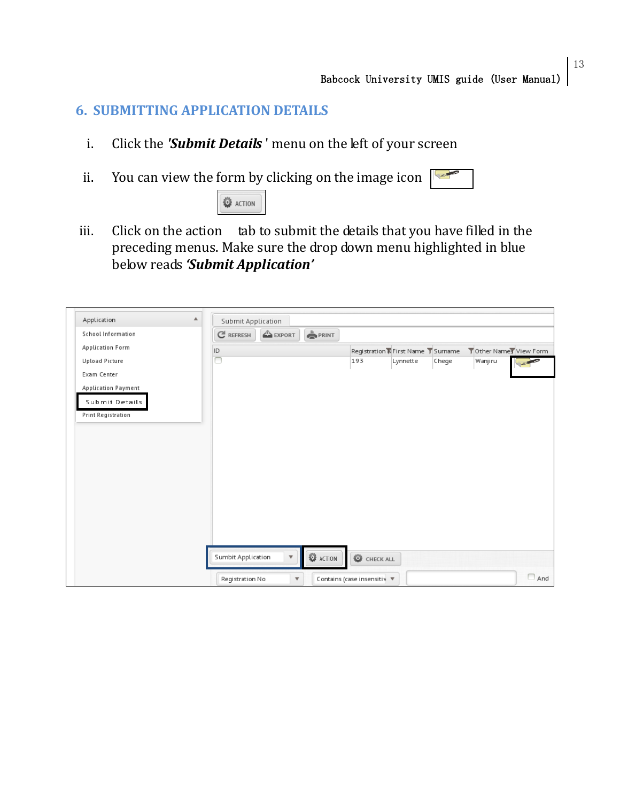#### **6. SUBMITTING APPLICATION DETAILS**

- i. Click the *'Submit Details* ' menu on the left of your screen
- ii. You can view the form by clicking on the image icon



iii. Click on the action tab to submit the details that you have filled in the preceding menus. Make sure the drop down menu highlighted in blue below reads *'Submit Application'*

| Application             | ▲ | Submit Application |                         |                 |           |                                     |       |                        |            |
|-------------------------|---|--------------------|-------------------------|-----------------|-----------|-------------------------------------|-------|------------------------|------------|
| School Information      |   | $C$ REFRESH        | EXPORT                  | $P$ RINT        |           |                                     |       |                        |            |
| <b>Application Form</b> |   | ID                 |                         |                 |           | Registration N First Name T Surname |       | Tother Names View Form |            |
| <b>Upload Picture</b>   |   | ┍                  |                         |                 | 193       | Lynnette                            | Chege | Wanjiru                |            |
| Exam Center             |   |                    |                         |                 |           |                                     |       |                        |            |
| Application Payment     |   |                    |                         |                 |           |                                     |       |                        |            |
| Submit Details          |   |                    |                         |                 |           |                                     |       |                        |            |
| Print Registration      |   |                    |                         |                 |           |                                     |       |                        |            |
|                         |   |                    |                         |                 |           |                                     |       |                        |            |
|                         |   |                    |                         |                 |           |                                     |       |                        |            |
|                         |   |                    |                         |                 |           |                                     |       |                        |            |
|                         |   |                    |                         |                 |           |                                     |       |                        |            |
|                         |   |                    |                         |                 |           |                                     |       |                        |            |
|                         |   |                    |                         |                 |           |                                     |       |                        |            |
|                         |   |                    |                         |                 |           |                                     |       |                        |            |
|                         |   |                    |                         |                 |           |                                     |       |                        |            |
|                         |   |                    |                         |                 |           |                                     |       |                        |            |
|                         |   |                    |                         |                 |           |                                     |       |                        |            |
|                         |   |                    |                         |                 |           |                                     |       |                        |            |
|                         |   | Sumbit Application | $\overline{\mathbf{v}}$ | <b>O</b> ACTION | CHECK ALL |                                     |       |                        |            |
|                         |   |                    |                         |                 |           |                                     |       |                        | $\Box$ And |